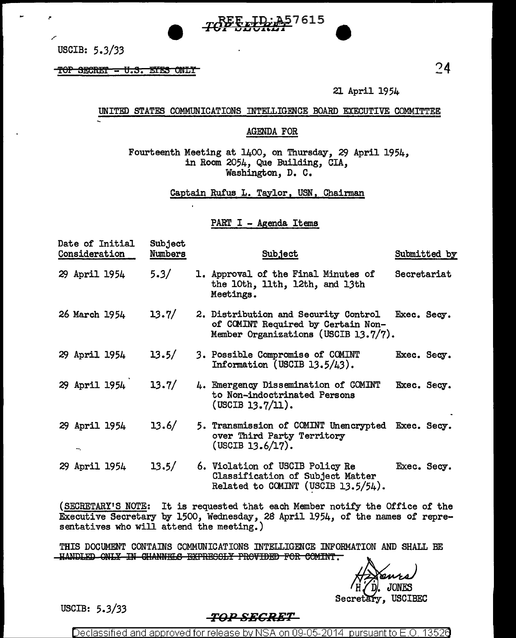

USCIB:  $5.3/33$ 

TOP SECRET = U.S. EYES ONLY

21 April 1954

### UNITED STATES COMMUNICATIONS INTELLIGENCE BOARD EXECUTIVE COMMITTEE

#### AGENDA FOR

Fourteenth Meeting at 1400, on Thursday, 29 April 1954, in Room 2054, Que Building, CIA, Washington, D. C.

Captain Rufus L. Taylor, USN, Chairman

PART I - Agenda Items

| Date of Initial<br>Consideration | <b>Subject</b><br>Numbers | Subject                                                                                                            | Submitted by |
|----------------------------------|---------------------------|--------------------------------------------------------------------------------------------------------------------|--------------|
| 29 April 1954                    | 5.3/                      | 1. Approval of the Final Minutes of<br>the 10th, 11th, 12th, and 13th<br>Meetings.                                 | Secretariat  |
| 26 March 1954                    | 13.7/                     | 2. Distribution and Security Control<br>of COMINT Required by Certain Non-<br>Member Organizations (USCIB 13.7/7). | Exec. Secy.  |
| 29 April 1954                    | 13.5/                     | 3. Possible Compromise of COMINT<br>Information (USCIB $13.5/43$ ).                                                | Exec. Secy.  |
| 29 April 1954                    | 13.7/                     | 4. Emergency Dissemination of COMINT<br>to Non-indoctrinated Persons<br>(USCIB 13.7/11).                           | Exec. Secy.  |
| 29 April 1954                    | 13.6/                     | 5. Transmission of COMINT Unencrypted Exec. Secy.<br>over Third Party Territory<br>(USCIB 13.6/17).                |              |
| 29 April 1954                    | 13.5/                     | 6. Violation of USCIB Policy Re<br>Classification of Subject Matter<br>Related to COMINT (USCIB $13.5/54$ ).       | Exec. Secy.  |

(SECRETARY'S NOTE: It is requested that each Member notify the Office of the Executive Secretary by 1500, Wednesday, 28 April 1954, of the names of representatives who will attend the meeting.)

THIS DOCUMENT CONTAINS COMMUNICATIONS INTELLIGENCE INFORMATION AND SHALL BE -HANDLED ONLY IN CHANNELS EXPRESSLY PROVIDED FOR COMINT.

JONES Secretary, USCIBEC

USCIB:  $5.3/33$ 

# <del>-TOP SECRET -</del>

Declassified and approved for release by NSA on 09-05-2014 pursuant to E.O. 13526